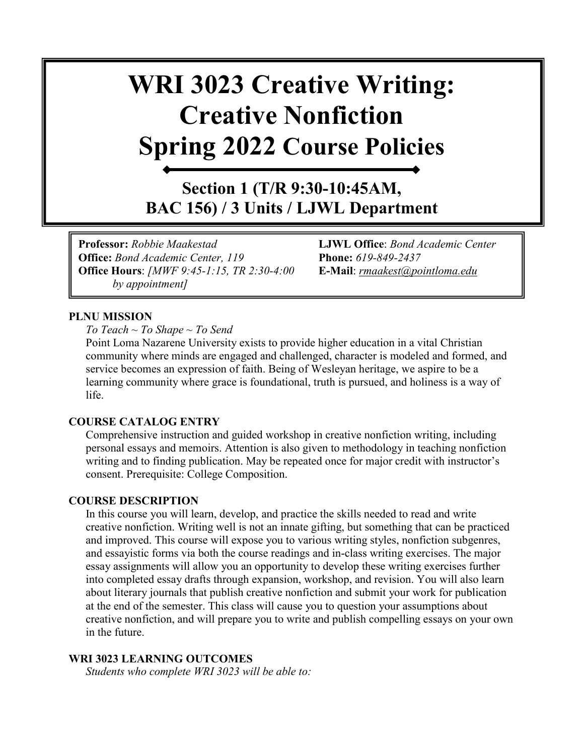# **WRI 3023 Creative Writing: Creative Nonfiction Spring 2022 Course Policies**

**Section 1 (T/R 9:30-10:45AM, BAC 156) / 3 Units / LJWL Department**

**Professor:** *Robbie Maakestad* **LJWL Office**: *Bond Academic Center*  **Office:** *Bond Academic Center, 119* **Phone:** *619-849-2437* **Office Hours**: *[MWF 9:45-1:15, TR 2:30-4:00* **E-Mail**: *[rmaakest@pointloma.edu](mailto:rmaakest@pointloma.edu)  by appointment]*

#### **PLNU MISSION**

*To Teach ~ To Shape ~ To Send* 

Point Loma Nazarene University exists to provide higher education in a vital Christian community where minds are engaged and challenged, character is modeled and formed, and service becomes an expression of faith. Being of Wesleyan heritage, we aspire to be a learning community where grace is foundational, truth is pursued, and holiness is a way of life.

#### **COURSE CATALOG ENTRY**

Comprehensive instruction and guided workshop in creative nonfiction writing, including personal essays and memoirs. Attention is also given to methodology in teaching nonfiction writing and to finding publication. May be repeated once for major credit with instructor's consent. Prerequisite: College Composition.

#### **COURSE DESCRIPTION**

In this course you will learn, develop, and practice the skills needed to read and write creative nonfiction. Writing well is not an innate gifting, but something that can be practiced and improved. This course will expose you to various writing styles, nonfiction subgenres, and essayistic forms via both the course readings and in-class writing exercises. The major essay assignments will allow you an opportunity to develop these writing exercises further into completed essay drafts through expansion, workshop, and revision. You will also learn about literary journals that publish creative nonfiction and submit your work for publication at the end of the semester. This class will cause you to question your assumptions about creative nonfiction, and will prepare you to write and publish compelling essays on your own in the future.

#### **WRI 3023 LEARNING OUTCOMES**

*Students who complete WRI 3023 will be able to:*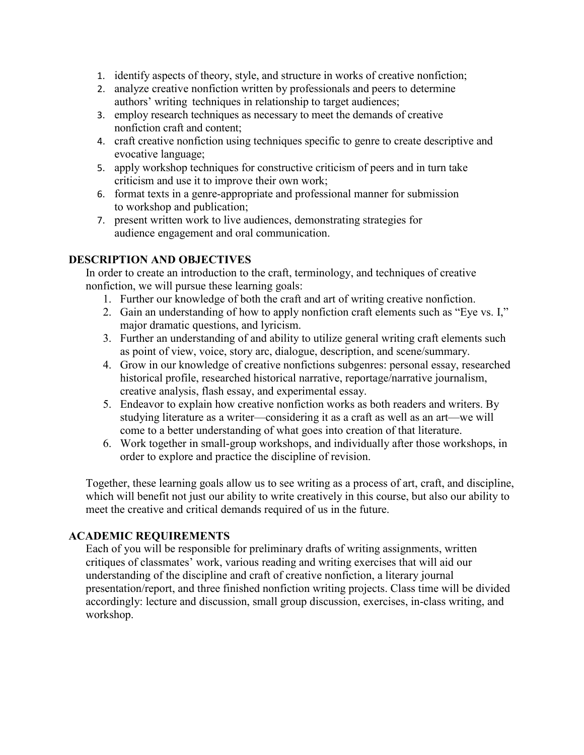- 1. identify aspects of theory, style, and structure in works of creative nonfiction;
- 2. analyze creative nonfiction written by professionals and peers to determine authors' writing techniques in relationship to target audiences;
- 3. employ research techniques as necessary to meet the demands of creative nonfiction craft and content;
- 4. craft creative nonfiction using techniques specific to genre to create descriptive and evocative language;
- 5. apply workshop techniques for constructive criticism of peers and in turn take criticism and use it to improve their own work;
- 6. format texts in a genre-appropriate and professional manner for submission to workshop and publication;
- 7. present written work to live audiences, demonstrating strategies for audience engagement and oral communication.

#### **DESCRIPTION AND OBJECTIVES**

In order to create an introduction to the craft, terminology, and techniques of creative nonfiction, we will pursue these learning goals:

- 1. Further our knowledge of both the craft and art of writing creative nonfiction.
- 2. Gain an understanding of how to apply nonfiction craft elements such as "Eye vs. I," major dramatic questions, and lyricism.
- 3. Further an understanding of and ability to utilize general writing craft elements such as point of view, voice, story arc, dialogue, description, and scene/summary.
- 4. Grow in our knowledge of creative nonfictions subgenres: personal essay, researched historical profile, researched historical narrative, reportage/narrative journalism, creative analysis, flash essay, and experimental essay.
- 5. Endeavor to explain how creative nonfiction works as both readers and writers. By studying literature as a writer—considering it as a craft as well as an art—we will come to a better understanding of what goes into creation of that literature.
- 6. Work together in small-group workshops, and individually after those workshops, in order to explore and practice the discipline of revision.

Together, these learning goals allow us to see writing as a process of art, craft, and discipline, which will benefit not just our ability to write creatively in this course, but also our ability to meet the creative and critical demands required of us in the future.

#### **ACADEMIC REQUIREMENTS**

Each of you will be responsible for preliminary drafts of writing assignments, written critiques of classmates' work, various reading and writing exercises that will aid our understanding of the discipline and craft of creative nonfiction, a literary journal presentation/report, and three finished nonfiction writing projects. Class time will be divided accordingly: lecture and discussion, small group discussion, exercises, in-class writing, and workshop.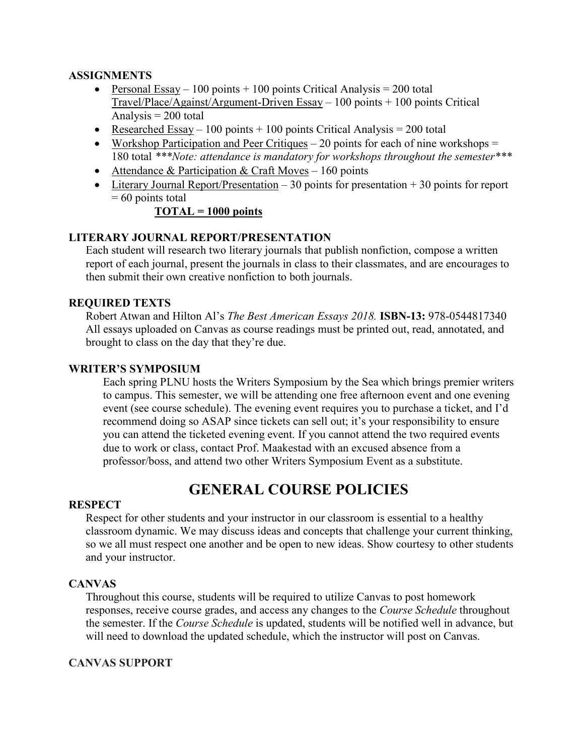#### **ASSIGNMENTS**

- Personal Essay 100 points + 100 points Critical Analysis = 200 total  $Travel/Place/A$ gainst/Argument-Driven Essay – 100 points + 100 points Critical Analysis  $= 200$  total
- Researched Essay 100 points  $+$  100 points Critical Analysis = 200 total
- Workshop Participation and Peer Critiques  $-20$  points for each of nine workshops  $=$ 180 total *\*\*\*Note: attendance is mandatory for workshops throughout the semester\*\*\**
- Attendance & Participation & Craft Moves 160 points
- Literary Journal Report/Presentation  $-30$  points for presentation  $+30$  points for report  $= 60$  points total

#### **TOTAL = 1000 points**

#### **LITERARY JOURNAL REPORT/PRESENTATION**

Each student will research two literary journals that publish nonfiction, compose a written report of each journal, present the journals in class to their classmates, and are encourages to then submit their own creative nonfiction to both journals.

#### **REQUIRED TEXTS**

Robert Atwan and Hilton Al's *The Best American Essays 2018.* **ISBN-13:** 978-0544817340 All essays uploaded on Canvas as course readings must be printed out, read, annotated, and brought to class on the day that they're due.

#### **WRITER'S SYMPOSIUM**

Each spring PLNU hosts the Writers Symposium by the Sea which brings premier writers to campus. This semester, we will be attending one free afternoon event and one evening event (see course schedule). The evening event requires you to purchase a ticket, and I'd recommend doing so ASAP since tickets can sell out; it's your responsibility to ensure you can attend the ticketed evening event. If you cannot attend the two required events due to work or class, contact Prof. Maakestad with an excused absence from a professor/boss, and attend two other Writers Symposium Event as a substitute.

## **GENERAL COURSE POLICIES**

#### **RESPECT**

Respect for other students and your instructor in our classroom is essential to a healthy classroom dynamic. We may discuss ideas and concepts that challenge your current thinking, so we all must respect one another and be open to new ideas. Show courtesy to other students and your instructor.

#### **CANVAS**

Throughout this course, students will be required to utilize Canvas to post homework responses, receive course grades, and access any changes to the *Course Schedule* throughout the semester. If the *Course Schedule* is updated, students will be notified well in advance, but will need to download the updated schedule, which the instructor will post on Canvas.

#### **CANVAS SUPPORT**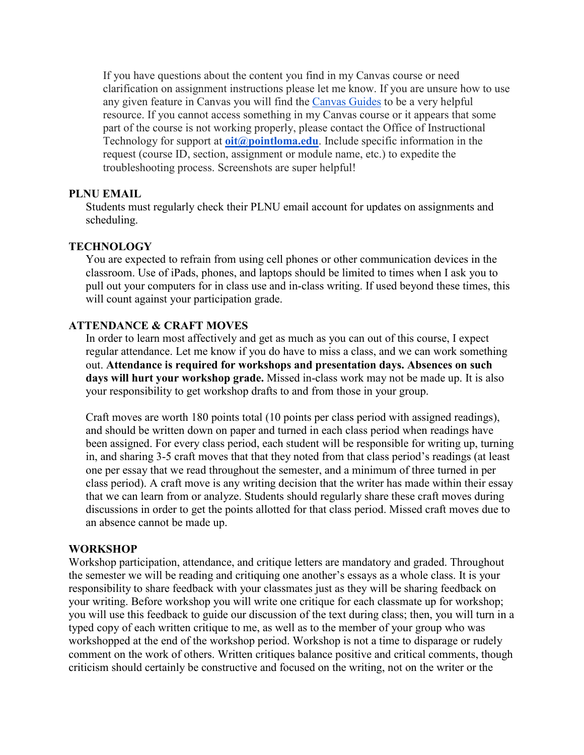If you have questions about the content you find in my Canvas course or need clarification on assignment instructions please let me know. If you are unsure how to use any given feature in Canvas you will find the [Canvas Guides](https://community.canvaslms.com/community/answers/guides/) to be a very helpful resource. If you cannot access something in my Canvas course or it appears that some part of the course is not working properly, please contact the Office of Instructional Technology for support at **[oit@pointloma.edu](mailto:oit@pointloma.edu)**. Include specific information in the request (course ID, section, assignment or module name, etc.) to expedite the troubleshooting process. Screenshots are super helpful!

#### **PLNU EMAIL**

Students must regularly check their PLNU email account for updates on assignments and scheduling.

#### **TECHNOLOGY**

You are expected to refrain from using cell phones or other communication devices in the classroom. Use of iPads, phones, and laptops should be limited to times when I ask you to pull out your computers for in class use and in-class writing. If used beyond these times, this will count against your participation grade.

#### **ATTENDANCE & CRAFT MOVES**

In order to learn most affectively and get as much as you can out of this course, I expect regular attendance. Let me know if you do have to miss a class, and we can work something out. **Attendance is required for workshops and presentation days. Absences on such days will hurt your workshop grade.** Missed in-class work may not be made up. It is also your responsibility to get workshop drafts to and from those in your group.

Craft moves are worth 180 points total (10 points per class period with assigned readings), and should be written down on paper and turned in each class period when readings have been assigned. For every class period, each student will be responsible for writing up, turning in, and sharing 3-5 craft moves that that they noted from that class period's readings (at least one per essay that we read throughout the semester, and a minimum of three turned in per class period). A craft move is any writing decision that the writer has made within their essay that we can learn from or analyze. Students should regularly share these craft moves during discussions in order to get the points allotted for that class period. Missed craft moves due to an absence cannot be made up.

#### **WORKSHOP**

Workshop participation, attendance, and critique letters are mandatory and graded. Throughout the semester we will be reading and critiquing one another's essays as a whole class. It is your responsibility to share feedback with your classmates just as they will be sharing feedback on your writing. Before workshop you will write one critique for each classmate up for workshop; you will use this feedback to guide our discussion of the text during class; then, you will turn in a typed copy of each written critique to me, as well as to the member of your group who was workshopped at the end of the workshop period. Workshop is not a time to disparage or rudely comment on the work of others. Written critiques balance positive and critical comments, though criticism should certainly be constructive and focused on the writing, not on the writer or the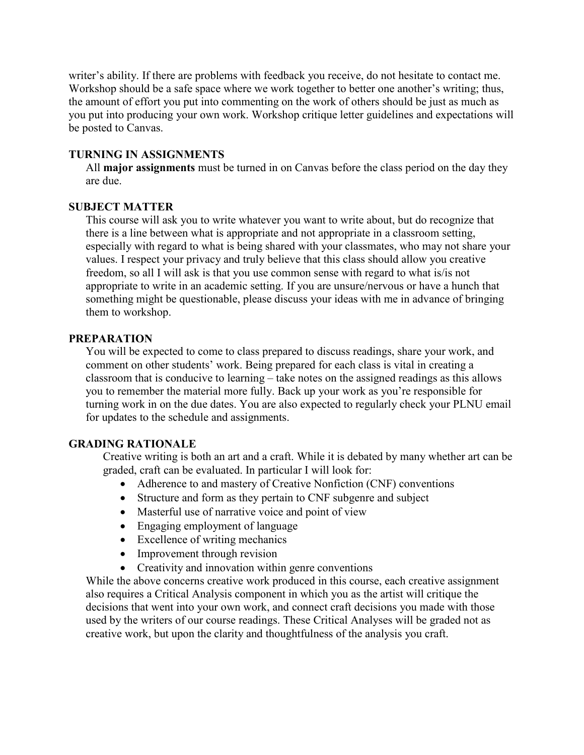writer's ability. If there are problems with feedback you receive, do not hesitate to contact me. Workshop should be a safe space where we work together to better one another's writing; thus, the amount of effort you put into commenting on the work of others should be just as much as you put into producing your own work. Workshop critique letter guidelines and expectations will be posted to Canvas.

#### **TURNING IN ASSIGNMENTS**

All **major assignments** must be turned in on Canvas before the class period on the day they are due.

#### **SUBJECT MATTER**

This course will ask you to write whatever you want to write about, but do recognize that there is a line between what is appropriate and not appropriate in a classroom setting, especially with regard to what is being shared with your classmates, who may not share your values. I respect your privacy and truly believe that this class should allow you creative freedom, so all I will ask is that you use common sense with regard to what is/is not appropriate to write in an academic setting. If you are unsure/nervous or have a hunch that something might be questionable, please discuss your ideas with me in advance of bringing them to workshop.

#### **PREPARATION**

You will be expected to come to class prepared to discuss readings, share your work, and comment on other students' work. Being prepared for each class is vital in creating a classroom that is conducive to learning – take notes on the assigned readings as this allows you to remember the material more fully. Back up your work as you're responsible for turning work in on the due dates. You are also expected to regularly check your PLNU email for updates to the schedule and assignments.

#### **GRADING RATIONALE**

Creative writing is both an art and a craft. While it is debated by many whether art can be graded, craft can be evaluated. In particular I will look for:

- Adherence to and mastery of Creative Nonfiction (CNF) conventions
- Structure and form as they pertain to CNF subgenre and subject
- Masterful use of narrative voice and point of view
- Engaging employment of language
- Excellence of writing mechanics
- Improvement through revision
- Creativity and innovation within genre conventions

While the above concerns creative work produced in this course, each creative assignment also requires a Critical Analysis component in which you as the artist will critique the decisions that went into your own work, and connect craft decisions you made with those used by the writers of our course readings. These Critical Analyses will be graded not as creative work, but upon the clarity and thoughtfulness of the analysis you craft.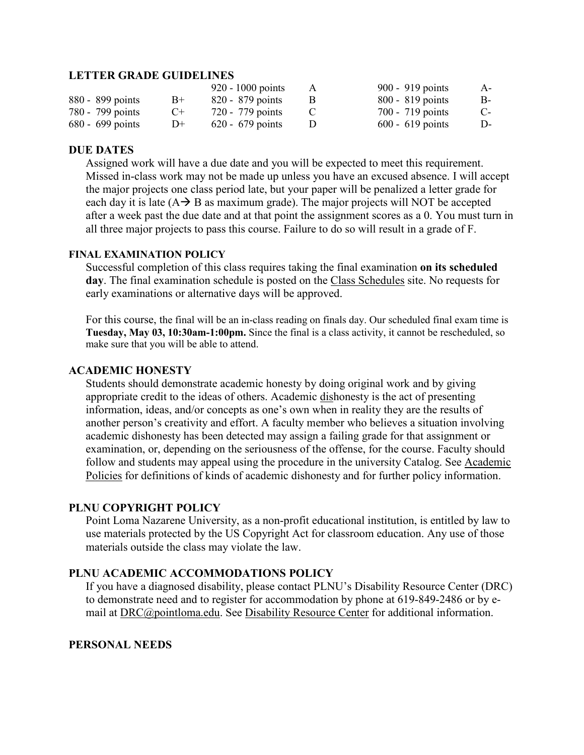#### **LETTER GRADE GUIDELINES**

|                    |      | $920 - 1000$ points | A | 900 - 919 points   | A-   |
|--------------------|------|---------------------|---|--------------------|------|
| 880 - 899 points   | $B+$ | 820 - 879 points    |   | $800 - 819$ points | B-   |
| 780 - 799 points   | $C+$ | 720 - 779 points    |   | 700 - 719 points   | $C-$ |
| $680 - 699$ points | D+   | $620 - 679$ points  |   | $600 - 619$ points | D-   |

#### **DUE DATES**

Assigned work will have a due date and you will be expected to meet this requirement. Missed in-class work may not be made up unless you have an excused absence. I will accept the major projects one class period late, but your paper will be penalized a letter grade for each day it is late  $(A \rightarrow B)$  as maximum grade). The major projects will NOT be accepted after a week past the due date and at that point the assignment scores as a 0. You must turn in all three major projects to pass this course. Failure to do so will result in a grade of F.

#### **FINAL EXAMINATION POLICY**

Successful completion of this class requires taking the final examination **on its scheduled day**. The final examination schedule is posted on the [Class Schedules](http://www.pointloma.edu/experience/academics/class-schedules) site. No requests for early examinations or alternative days will be approved.

For this course, the final will be an in-class reading on finals day. Our scheduled final exam time is **Tuesday, May 03, 10:30am-1:00pm.** Since the final is a class activity, it cannot be rescheduled, so make sure that you will be able to attend.

#### **ACADEMIC HONESTY**

Students should demonstrate academic honesty by doing original work and by giving appropriate credit to the ideas of others. Academic dishonesty is the act of presenting information, ideas, and/or concepts as one's own when in reality they are the results of another person's creativity and effort. A faculty member who believes a situation involving academic dishonesty has been detected may assign a failing grade for that assignment or examination, or, depending on the seriousness of the offense, for the course. Faculty should follow and students may appeal using the procedure in the university Catalog. See [Academic](http://catalog.pointloma.edu/content.php?catoid=18&navoid=1278)  [Policies](http://catalog.pointloma.edu/content.php?catoid=18&navoid=1278) for definitions of kinds of academic dishonesty and for further policy information.

#### **PLNU COPYRIGHT POLICY**

Point Loma Nazarene University, as a non-profit educational institution, is entitled by law to use materials protected by the US Copyright Act for classroom education. Any use of those materials outside the class may violate the law.

#### **PLNU ACADEMIC ACCOMMODATIONS POLICY**

If you have a diagnosed disability, please contact PLNU's Disability Resource Center (DRC) to demonstrate need and to register for accommodation by phone at 619-849-2486 or by email at [DRC@pointloma.edu.](mailto:DRC@pointloma.edu) See [Disability Resource Center](http://www.pointloma.edu/experience/offices/administrative-offices/academic-advising-office/disability-resource-center) for additional information.

#### **PERSONAL NEEDS**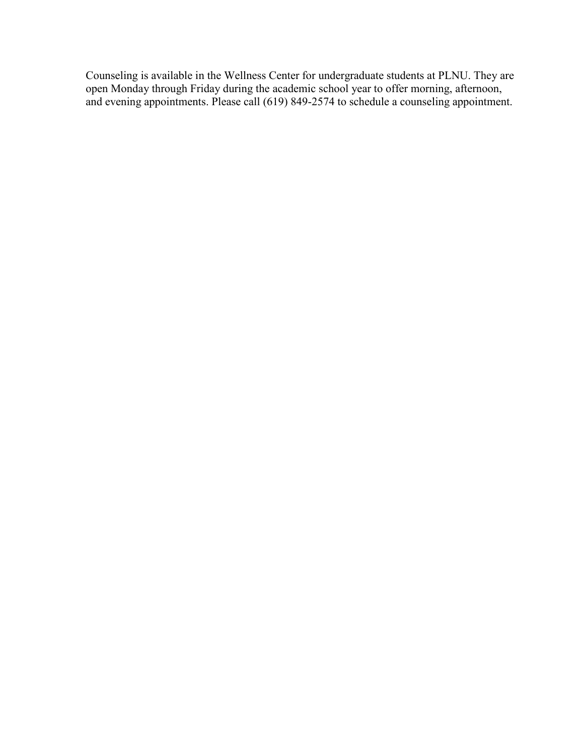Counseling is available in the Wellness Center for undergraduate students at PLNU. They are open Monday through Friday during the academic school year to offer morning, afternoon, and evening appointments. Please call (619) 849-2574 to schedule a counseling appointment.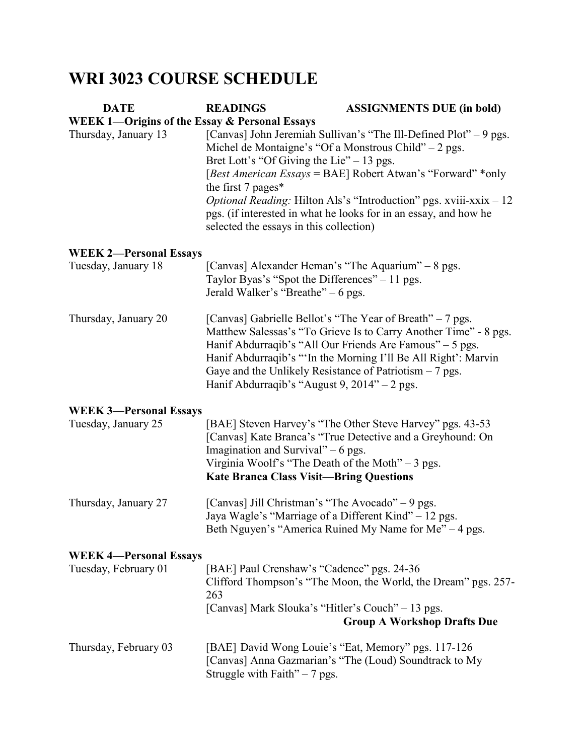# **WRI 3023 COURSE SCHEDULE**

| <b>DATE</b>                                              | <b>READINGS</b>                                                                                                                                                           | <b>ASSIGNMENTS DUE (in bold)</b>                                                                                                                                                                                                                            |  |  |
|----------------------------------------------------------|---------------------------------------------------------------------------------------------------------------------------------------------------------------------------|-------------------------------------------------------------------------------------------------------------------------------------------------------------------------------------------------------------------------------------------------------------|--|--|
| <b>WEEK 1—Origins of the Essay &amp; Personal Essays</b> |                                                                                                                                                                           |                                                                                                                                                                                                                                                             |  |  |
| Thursday, January 13                                     | [Canvas] John Jeremiah Sullivan's "The Ill-Defined Plot" – 9 pgs.<br>Michel de Montaigne's "Of a Monstrous Child" $-2$ pgs.<br>Bret Lott's "Of Giving the Lie" $-13$ pgs. |                                                                                                                                                                                                                                                             |  |  |
|                                                          | the first 7 pages*                                                                                                                                                        | [Best American Essays = BAE] Robert Atwan's "Forward" *only                                                                                                                                                                                                 |  |  |
|                                                          | selected the essays in this collection)                                                                                                                                   | <i>Optional Reading:</i> Hilton Als's "Introduction" pgs. xviii-xxix - 12<br>pgs. (if interested in what he looks for in an essay, and how he                                                                                                               |  |  |
| <b>WEEK 2-Personal Essays</b>                            |                                                                                                                                                                           |                                                                                                                                                                                                                                                             |  |  |
| Tuesday, January 18                                      | [Canvas] Alexander Heman's "The Aquarium" – 8 pgs.<br>Taylor Byas's "Spot the Differences" – 11 pgs.<br>Jerald Walker's "Breathe" – 6 pgs.                                |                                                                                                                                                                                                                                                             |  |  |
| Thursday, January 20                                     | Gaye and the Unlikely Resistance of Patriotism $-7$ pgs.<br>Hanif Abdurraqib's "August 9, $2014" - 2$ pgs.                                                                | [Canvas] Gabrielle Bellot's "The Year of Breath" – 7 pgs.<br>Matthew Salessas's "To Grieve Is to Carry Another Time" - 8 pgs.<br>Hanif Abdurraqib's "All Our Friends Are Famous" – 5 pgs.<br>Hanif Abdurraqib's "'In the Morning I'll Be All Right': Marvin |  |  |
| <b>WEEK 3-Personal Essays</b>                            |                                                                                                                                                                           |                                                                                                                                                                                                                                                             |  |  |
| Tuesday, January 25                                      | Imagination and Survival" $-6$ pgs.<br>Virginia Woolf's "The Death of the Moth" $-3$ pgs.<br><b>Kate Branca Class Visit-Bring Questions</b>                               | [BAE] Steven Harvey's "The Other Steve Harvey" pgs. 43-53<br>[Canvas] Kate Branca's "True Detective and a Greyhound: On                                                                                                                                     |  |  |
| Thursday, January 27                                     | [Canvas] Jill Christman's "The Avocado" – 9 pgs.<br>Jaya Wagle's "Marriage of a Different Kind" – 12 pgs.                                                                 | Beth Nguyen's "America Ruined My Name for Me" – 4 pgs.                                                                                                                                                                                                      |  |  |
| <b>WEEK 4-Personal Essays</b>                            |                                                                                                                                                                           |                                                                                                                                                                                                                                                             |  |  |
| Tuesday, February 01                                     | [BAE] Paul Crenshaw's "Cadence" pgs. 24-36<br>263                                                                                                                         | Clifford Thompson's "The Moon, the World, the Dream" pgs. 257-                                                                                                                                                                                              |  |  |
|                                                          | [Canvas] Mark Slouka's "Hitler's Couch" – 13 pgs.                                                                                                                         | <b>Group A Workshop Drafts Due</b>                                                                                                                                                                                                                          |  |  |
| Thursday, February 03                                    | Struggle with Faith" $-7$ pgs.                                                                                                                                            | [BAE] David Wong Louie's "Eat, Memory" pgs. 117-126<br>[Canvas] Anna Gazmarian's "The (Loud) Soundtrack to My                                                                                                                                               |  |  |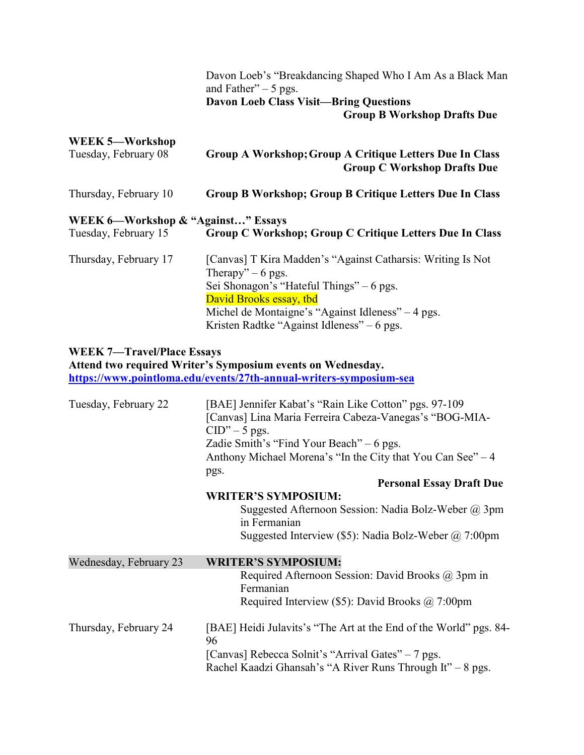|                                                            | Davon Loeb's "Breakdancing Shaped Who I Am As a Black Man<br>and Father" $-5$ pgs.                                                                                                                                                                                                                                       |
|------------------------------------------------------------|--------------------------------------------------------------------------------------------------------------------------------------------------------------------------------------------------------------------------------------------------------------------------------------------------------------------------|
|                                                            | <b>Davon Loeb Class Visit-Bring Questions</b><br><b>Group B Workshop Drafts Due</b>                                                                                                                                                                                                                                      |
| <b>WEEK 5-Workshop</b>                                     |                                                                                                                                                                                                                                                                                                                          |
| Tuesday, February 08                                       | Group A Workshop; Group A Critique Letters Due In Class<br><b>Group C Workshop Drafts Due</b>                                                                                                                                                                                                                            |
| Thursday, February 10                                      | Group B Workshop; Group B Critique Letters Due In Class                                                                                                                                                                                                                                                                  |
| WEEK 6—Workshop & "Against" Essays<br>Tuesday, February 15 | Group C Workshop; Group C Critique Letters Due In Class                                                                                                                                                                                                                                                                  |
| Thursday, February 17                                      | [Canvas] T Kira Madden's "Against Catharsis: Writing Is Not<br>Therapy" $-6$ pgs.<br>Sei Shonagon's "Hateful Things" – 6 pgs.<br>David Brooks essay, tbd<br>Michel de Montaigne's "Against Idleness" – 4 pgs.<br>Kristen Radtke "Against Idleness" - 6 pgs.                                                              |
| <b>WEEK 7-Travel/Place Essays</b>                          | Attend two required Writer's Symposium events on Wednesday.<br>https://www.pointloma.edu/events/27th-annual-writers-symposium-sea                                                                                                                                                                                        |
| Tuesday, February 22                                       | [BAE] Jennifer Kabat's "Rain Like Cotton" pgs. 97-109<br>[Canvas] Lina Maria Ferreira Cabeza-Vanegas's "BOG-MIA-<br>$CID" - 5$ pgs.<br>Zadie Smith's "Find Your Beach" $-6$ pgs.<br>Anthony Michael Morena's "In the City that You Can See" – 4<br>pgs.<br><b>Personal Essay Draft Due</b><br><b>WRITER'S SYMPOSIUM:</b> |
|                                                            | Suggested Afternoon Session: Nadia Bolz-Weber @ 3pm<br>in Fermanian<br>Suggested Interview (\$5): Nadia Bolz-Weber @ 7:00pm                                                                                                                                                                                              |
| Wednesday, February 23                                     | <b>WRITER'S SYMPOSIUM:</b><br>Required Afternoon Session: David Brooks @ 3pm in<br>Fermanian<br>Required Interview (\$5): David Brooks $@$ 7:00pm                                                                                                                                                                        |
| Thursday, February 24                                      | [BAE] Heidi Julavits's "The Art at the End of the World" pgs. 84-<br>96<br>[Canvas] Rebecca Solnit's "Arrival Gates" - 7 pgs.<br>Rachel Kaadzi Ghansah's "A River Runs Through It" - 8 pgs.                                                                                                                              |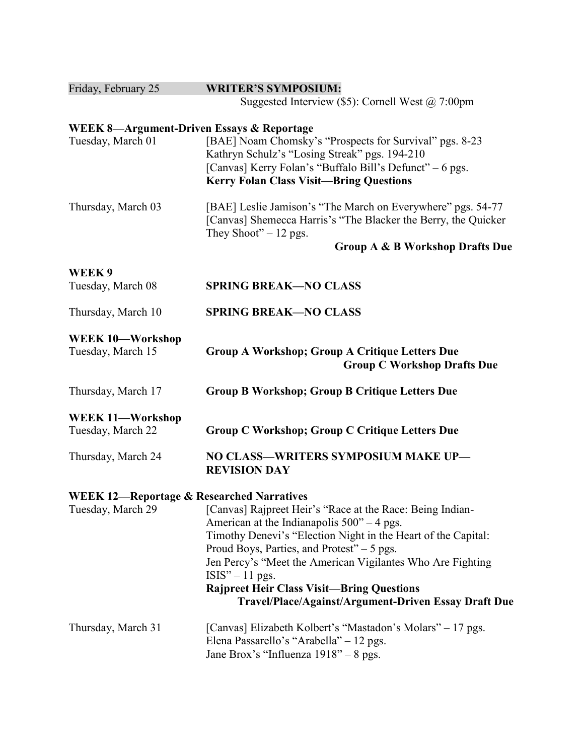| Friday, February 25                                  | <b>WRITER'S SYMPOSIUM:</b>                                                                                |
|------------------------------------------------------|-----------------------------------------------------------------------------------------------------------|
|                                                      | Suggested Interview (\$5): Cornell West $@ 7:00 \text{pm}$                                                |
| <b>WEEK 8-Argument-Driven Essays &amp; Reportage</b> |                                                                                                           |
| Tuesday, March 01                                    | [BAE] Noam Chomsky's "Prospects for Survival" pgs. 8-23                                                   |
|                                                      | Kathryn Schulz's "Losing Streak" pgs. 194-210                                                             |
|                                                      | [Canvas] Kerry Folan's "Buffalo Bill's Defunct" - 6 pgs.                                                  |
|                                                      | <b>Kerry Folan Class Visit-Bring Questions</b>                                                            |
| Thursday, March 03                                   | [BAE] Leslie Jamison's "The March on Everywhere" pgs. 54-77                                               |
|                                                      | [Canvas] Shemecca Harris's "The Blacker the Berry, the Quicker                                            |
|                                                      | They Shoot" $-12$ pgs.                                                                                    |
|                                                      | Group A & B Workshop Drafts Due                                                                           |
| WEEK9                                                |                                                                                                           |
| Tuesday, March 08                                    | <b>SPRING BREAK-NO CLASS</b>                                                                              |
| Thursday, March 10                                   | <b>SPRING BREAK-NO CLASS</b>                                                                              |
| <b>WEEK 10-Workshop</b>                              |                                                                                                           |
| Tuesday, March 15                                    | <b>Group A Workshop; Group A Critique Letters Due</b><br><b>Group C Workshop Drafts Due</b>               |
| Thursday, March 17                                   | <b>Group B Workshop; Group B Critique Letters Due</b>                                                     |
| WEEK 11-Workshop                                     |                                                                                                           |
| Tuesday, March 22                                    | <b>Group C Workshop; Group C Critique Letters Due</b>                                                     |
| Thursday, March 24                                   | NO CLASS-WRITERS SYMPOSIUM MAKE UP-<br><b>REVISION DAY</b>                                                |
| <b>WEEK 12-Reportage &amp; Researched Narratives</b> |                                                                                                           |
|                                                      | Tuesday, March 29 [Canvas] Rajpreet Heir's "Race at the Race: Being Indian-                               |
|                                                      | American at the Indianapolis $500^{\circ}$ – 4 pgs.                                                       |
|                                                      | Timothy Denevi's "Election Night in the Heart of the Capital:                                             |
|                                                      | Proud Boys, Parties, and Protest" $-5$ pgs.<br>Jen Percy's "Meet the American Vigilantes Who Are Fighting |
|                                                      | $ISIS'' - 11$ pgs.                                                                                        |
|                                                      | <b>Rajpreet Heir Class Visit-Bring Questions</b>                                                          |
|                                                      | Travel/Place/Against/Argument-Driven Essay Draft Due                                                      |
| Thursday, March 31                                   | [Canvas] Elizabeth Kolbert's "Mastadon's Molars" – 17 pgs.                                                |
|                                                      | Elena Passarello's "Arabella" - 12 pgs.                                                                   |
|                                                      | Jane Brox's "Influenza 1918" – 8 pgs.                                                                     |